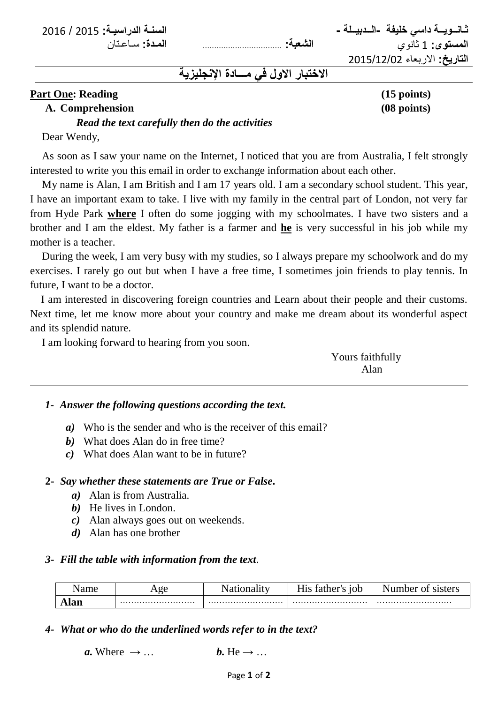**ثـانــويــة داسي خليفة -الــدبيــلة - السنـة الدراسيـة:** 1025 / 1026

**المستوى:** 1 ثانوي **الشعبة:** .................................. **المـدة:** سـاعـتان ا**لتاريخ:** الاربعاء 2015/12/02

# **االختبار االول في مـــادة اإلنجليزية**

### **Part One: Reading (15 points)** (15 points)

#### **A. Comprehension (08 points)**

#### *Read the text carefully then do the activities*

Dear Wendy,

As soon as I saw your name on the Internet, I noticed that you are from Australia, I felt strongly interested to write you this email in order to exchange information about each other.

My name is Alan, I am British and I am 17 years old. I am a secondary school student. This year, I have an important exam to take. I live with my family in the central part of London, not very far from Hyde Park **where** I often do some jogging with my schoolmates. I have two sisters and a brother and I am the eldest. My father is a farmer and **he** is very successful in his job while my mother is a teacher.

During the week, I am very busy with my studies, so I always prepare my schoolwork and do my exercises. I rarely go out but when I have a free time, I sometimes join friends to play tennis. In future, I want to be a doctor.

 I am interested in discovering foreign countries and Learn about their people and their customs. Next time, let me know more about your country and make me dream about its wonderful aspect and its splendid nature.

I am looking forward to hearing from you soon.

| Yours faithfully |
|------------------|
| Alan             |
|                  |

#### *1- Answer the following questions according the text.*

- *a)* Who is the sender and who is the receiver of this email?
- *b)* What does Alan do in free time?
- *c)* What does Alan want to be in future?

#### **2-** *Say whether these statements are True or False***.**

- *a)* Alan is from Australia.
- *b)* He lives in London.
- *c)* Alan always goes out on weekends.
- *d)* Alan has one brother

#### *3- Fill the table with information from the text.*

| ame | . 00<br><br>- | ıth∆r<br>10h<br>vυ | Jumber<br>ി<br>c1ctorc |
|-----|---------------|--------------------|------------------------|
|     |               |                    |                        |

#### *4- What or who do the underlined words refer to in the text?*

```
a. Where \rightarrow ... b. He \rightarrow ...
```